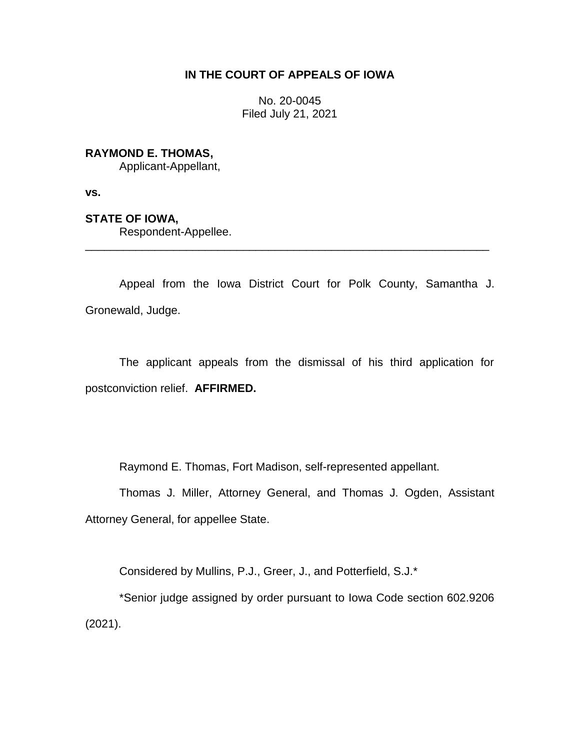# **IN THE COURT OF APPEALS OF IOWA**

No. 20-0045 Filed July 21, 2021

## **RAYMOND E. THOMAS,**

Applicant-Appellant,

**vs.**

### **STATE OF IOWA,**

Respondent-Appellee.

Appeal from the Iowa District Court for Polk County, Samantha J. Gronewald, Judge.

\_\_\_\_\_\_\_\_\_\_\_\_\_\_\_\_\_\_\_\_\_\_\_\_\_\_\_\_\_\_\_\_\_\_\_\_\_\_\_\_\_\_\_\_\_\_\_\_\_\_\_\_\_\_\_\_\_\_\_\_\_\_\_\_

The applicant appeals from the dismissal of his third application for postconviction relief. **AFFIRMED.**

Raymond E. Thomas, Fort Madison, self-represented appellant.

Thomas J. Miller, Attorney General, and Thomas J. Ogden, Assistant Attorney General, for appellee State.

Considered by Mullins, P.J., Greer, J., and Potterfield, S.J.\*

\*Senior judge assigned by order pursuant to Iowa Code section 602.9206 (2021).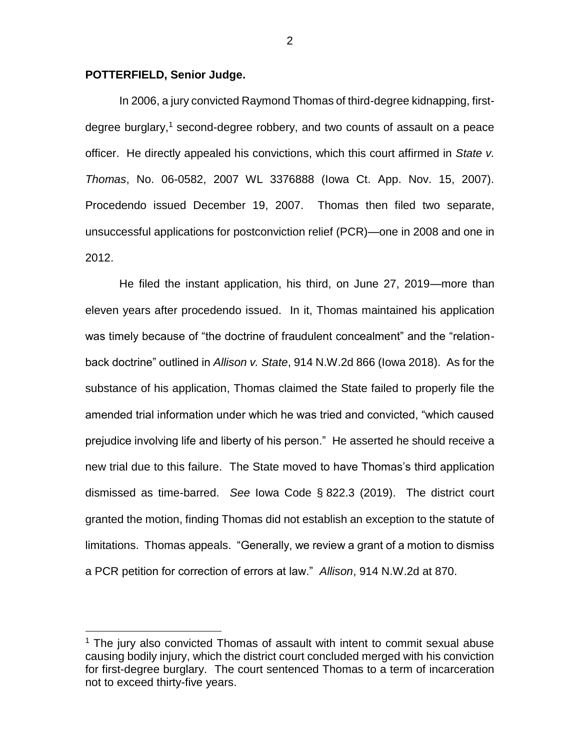### **POTTERFIELD, Senior Judge.**

 $\overline{a}$ 

In 2006, a jury convicted Raymond Thomas of third-degree kidnapping, firstdegree burglary,<sup>1</sup> second-degree robbery, and two counts of assault on a peace officer. He directly appealed his convictions, which this court affirmed in *State v. Thomas*, No. 06-0582, 2007 WL 3376888 (Iowa Ct. App. Nov. 15, 2007). Procedendo issued December 19, 2007. Thomas then filed two separate, unsuccessful applications for postconviction relief (PCR)—one in 2008 and one in 2012.

He filed the instant application, his third, on June 27, 2019—more than eleven years after procedendo issued. In it, Thomas maintained his application was timely because of "the doctrine of fraudulent concealment" and the "relationback doctrine" outlined in *Allison v. State*, 914 N.W.2d 866 (Iowa 2018). As for the substance of his application, Thomas claimed the State failed to properly file the amended trial information under which he was tried and convicted, "which caused prejudice involving life and liberty of his person." He asserted he should receive a new trial due to this failure. The State moved to have Thomas's third application dismissed as time-barred. *See* Iowa Code § 822.3 (2019). The district court granted the motion, finding Thomas did not establish an exception to the statute of limitations. Thomas appeals. "Generally, we review a grant of a motion to dismiss a PCR petition for correction of errors at law." *Allison*, 914 N.W.2d at 870.

 $1$  The jury also convicted Thomas of assault with intent to commit sexual abuse causing bodily injury, which the district court concluded merged with his conviction for first-degree burglary. The court sentenced Thomas to a term of incarceration not to exceed thirty-five years.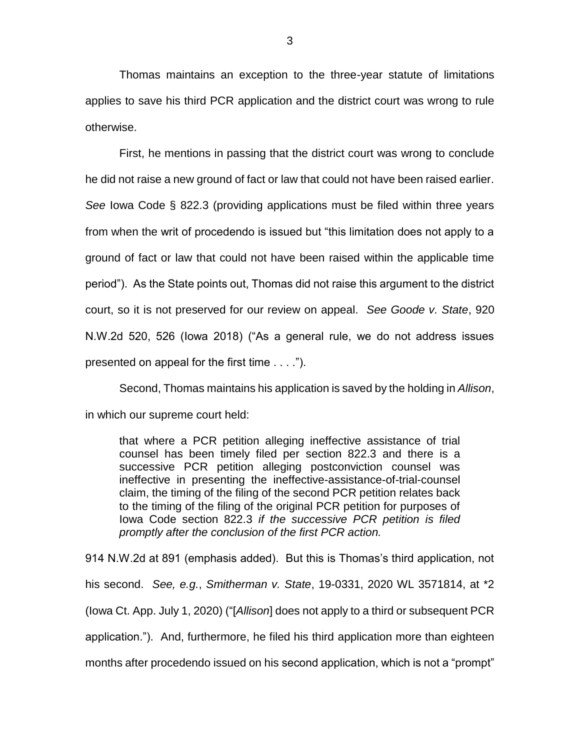Thomas maintains an exception to the three-year statute of limitations applies to save his third PCR application and the district court was wrong to rule otherwise.

First, he mentions in passing that the district court was wrong to conclude he did not raise a new ground of fact or law that could not have been raised earlier. *See* Iowa Code § 822.3 (providing applications must be filed within three years from when the writ of procedendo is issued but "this limitation does not apply to a ground of fact or law that could not have been raised within the applicable time period"). As the State points out, Thomas did not raise this argument to the district court, so it is not preserved for our review on appeal. *See Goode v. State*, 920 N.W.2d 520, 526 (Iowa 2018) ("As a general rule, we do not address issues presented on appeal for the first time . . . .").

Second, Thomas maintains his application is saved by the holding in *Allison*, in which our supreme court held:

that where a PCR petition alleging ineffective assistance of trial counsel has been timely filed per section 822.3 and there is a successive PCR petition alleging postconviction counsel was ineffective in presenting the ineffective-assistance-of-trial-counsel claim, the timing of the filing of the second PCR petition relates back to the timing of the filing of the original PCR petition for purposes of Iowa Code section 822.3 *if the successive PCR petition is filed promptly after the conclusion of the first PCR action.*

914 N.W.2d at 891 (emphasis added). But this is Thomas's third application, not his second. *See, e.g.*, *Smitherman v. State*, 19-0331, 2020 WL 3571814, at \*2 (Iowa Ct. App. July 1, 2020) ("[*Allison*] does not apply to a third or subsequent PCR application."). And, furthermore, he filed his third application more than eighteen months after procedendo issued on his second application, which is not a "prompt"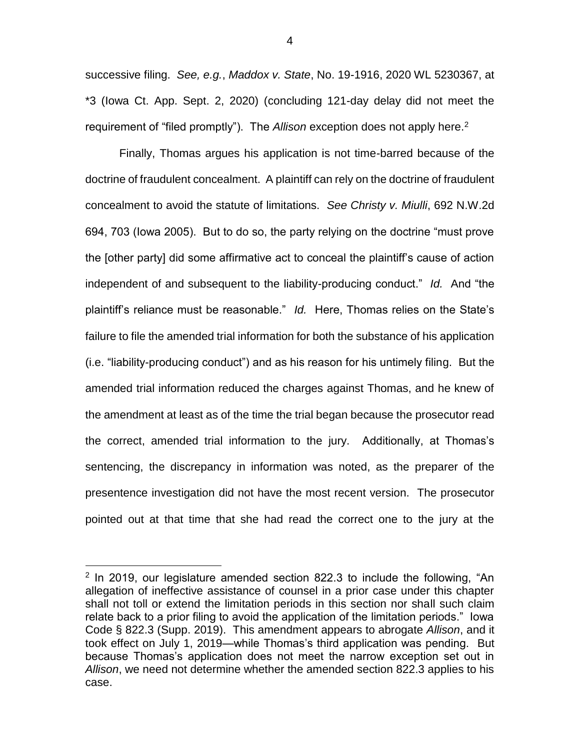successive filing. *See, e.g.*, *Maddox v. State*, No. 19-1916, 2020 WL 5230367, at \*3 (Iowa Ct. App. Sept. 2, 2020) (concluding 121-day delay did not meet the requirement of "filed promptly"). The *Allison* exception does not apply here.<sup>2</sup>

Finally, Thomas argues his application is not time-barred because of the doctrine of fraudulent concealment. A plaintiff can rely on the doctrine of fraudulent concealment to avoid the statute of limitations. *See Christy v. Miulli*, 692 N.W.2d 694, 703 (Iowa 2005). But to do so, the party relying on the doctrine "must prove the [other party] did some affirmative act to conceal the plaintiff's cause of action independent of and subsequent to the liability-producing conduct." *Id.* And "the plaintiff's reliance must be reasonable." *Id.* Here, Thomas relies on the State's failure to file the amended trial information for both the substance of his application (i.e. "liability-producing conduct") and as his reason for his untimely filing. But the amended trial information reduced the charges against Thomas, and he knew of the amendment at least as of the time the trial began because the prosecutor read the correct, amended trial information to the jury. Additionally, at Thomas's sentencing, the discrepancy in information was noted, as the preparer of the presentence investigation did not have the most recent version. The prosecutor pointed out at that time that she had read the correct one to the jury at the

 $\overline{a}$ 

 $2$  In 2019, our legislature amended section 822.3 to include the following, "An allegation of ineffective assistance of counsel in a prior case under this chapter shall not toll or extend the limitation periods in this section nor shall such claim relate back to a prior filing to avoid the application of the limitation periods." Iowa Code § 822.3 (Supp. 2019). This amendment appears to abrogate *Allison*, and it took effect on July 1, 2019—while Thomas's third application was pending. But because Thomas's application does not meet the narrow exception set out in *Allison*, we need not determine whether the amended section 822.3 applies to his case.